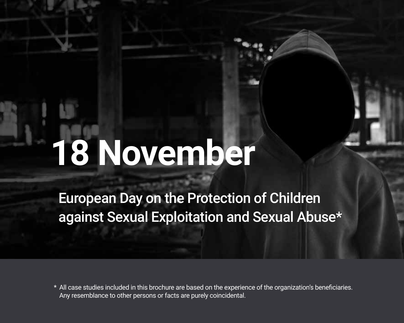# **18 November**

European Day on the Protection of Children against Sexual Exploitation and Sexual Abuse\*

\* All case studies included in this brochure are based on the experience of the organization's beneficiaries. Any resemblance to other persons or facts are purely coincidental.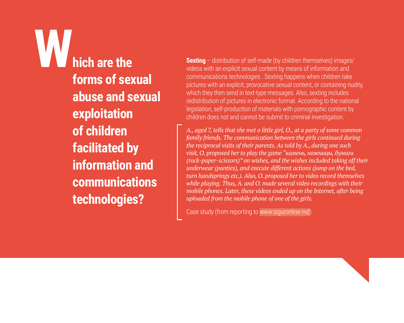**Which are the forms of sexual abuse and sexual exploitation of children facilitated by information and communications technologies?** 

**Sexting** – distribution of self-made (by children themselves) images/ videos with an explicit sexual content by means of information and communications technologies . Sexting happens when children take pictures with an explicit, provocative sexual content, or containing nudity, which they then send in text-type messages. Also, sexting includes redistribution of pictures in electronic format. According to the national legislation, self-production of materials with pornographic content by children does not and cannot be submit to criminal investigation.

*A., aged 7, tells that she met a little girl, O., at a party of some common family friends. The communication between the girls continued during the reciprocal visits of their parents. As told by A., during one such visit, O. proposed her to play the game "камень, ножницы, бумага (rock-paper-scissors)" on wishes, and the wishes included taking off their underwear (panties), and execute different actions (jump on the bed, turn handsprings etc.). Also, O. proposed her to video record themselves while playing. Thus, A. and O. made several video recordings with their mobile phones. Later, these videos ended up on the Internet, after being uploaded from the mobile phone of one of the girls.* 

Case study (from reporting to www.siguronline.md)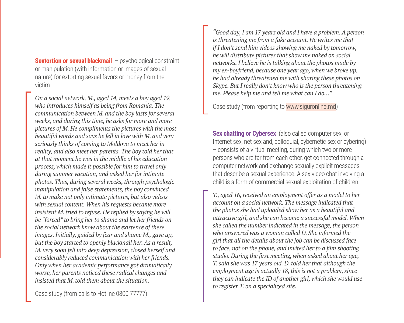**Sextortion or sexual blackmail** – psychological constraint or manipulation (with information or images of sexual nature) for extorting sexual favors or money from the victim.

*On a social network, M., aged 14, meets a boy aged 19, who introduces himself as being from Romania. The communication between M. and the boy lasts for several weeks, and during this time, he asks for more and more pictures of M. He compliments the pictures with the most beautiful words and says he fell in love with M. and very seriously thinks of coming to Moldova to meet her in reality, and also meet her parents. The boy told her that at that moment he was in the middle of his education process, which made it possible for him to travel only during summer vacation, and asked her for intimate photos. Thus, during several weeks, through psychologic manipulation and false statements, the boy convinced M. to make not only intimate pictures, but also videos with sexual content. When his requests became more insistent M. tried to refuse. He replied by saying he will be "forced" to bring her to shame and let her friends on the social network know about the existence of these images. Initially, guided by fear and shame M., gave up, but the boy started to openly blackmail her. As a result, M. very soon fell into deep depression, closed herself and considerably reduced communication with her friends. Only when her academic performance got dramatically worse, her parents noticed these radical changes and insisted that M. told them about the situation.* 

Case study (from calls to Hotline 0800 77777)

*"Good day, I am 17 years old and I have a problem. A person is threatening me from a fake account. He writes me that if I don't send him videos showing me naked by tomorrow, he will distribute pictures that show me naked on social networks. I believe he is talking about the photos made by my ex-boyfriend, because one year ago, when we broke up, he had already threatened me with sharing these photos on Skype. But I really don't know who is the person threatening me. Please help me and tell me what can I do…"*

Case study (from reporting to www.siguronline.md)

**Sex chatting or Cybersex** (also called computer sex, or Internet sex, net sex and, colloquial, cybernetic sex or cybering) – consists of a virtual meeting, during which two or more persons who are far from each other, get connected through a computer network and exchange sexually explicit messages that describe a sexual experience. A sex video chat involving a child is a form of commercial sexual exploitation of children.

*T., aged 16, received an employment offer as a model to her account on a social network. The message indicated that the photos she had uploaded show her as a beautiful and attractive girl, and she can become a successful model. When she called the number indicated in the message, the person who answered was a woman called D. She informed the girl that all the details about the job can be discussed face to face, not on the phone, and invited her to a film shooting studio. During the first meeting, when asked about her age, T. said she was 17 years old. D. told her that although the employment age is actually 18, this is not a problem, since they can indicate the ID of another girl, which she would use to register T. on a specialized site.*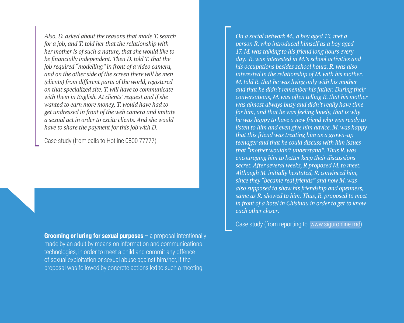*Also, D. asked about the reasons that made T. search for a job, and T. told her that the relationship with her mother is of such a nature, that she would like to be financially independent. Then D. told T. that the job required "modelling" in front of a video camera, and on the other side of the screen there will be men (clients) from different parts of the world, registered on that specialized site. T. will have to communicate with them in English. At clients' request and if she wanted to earn more money, T. would have had to get undressed in front of the web camera and imitate a sexual act in order to excite clients. And she would have to share the payment for this job with D.* 

Case study (from calls to Hotline 0800 77777)

**Grooming or luring for sexual purposes** – a proposal intentionally made by an adult by means on information and communications technologies, in order to meet a child and commit any offence of sexual exploitation or sexual abuse against him/her, if the proposal was followed by concrete actions led to such a meeting.

*On a social network M., a boy aged 12, met a person R. who introduced himself as a boy aged 17. M. was talking to his friend long hours every day. R. was interested in M.'s school activities and his occupations besides school hours. R. was also interested in the relationship of M. with his mother. M. told R. that he was living only with his mother and that he didn't remember his father. During their conversations, M. was often telling R. that his mother was almost always busy and didn't really have time for him, and that he was feeling lonely, that is why he was happy to have a new friend who was ready to listen to him and even give him advice. M. was happy that this friend was treating him as a grown-up teenager and that he could discuss with him issues that "mother wouldn't understand". Thus R. was encouraging him to better keep their discussions secret. After several weeks, R proposed M. to meet. Although M. initially hesitated, R. convinced him, since they "became real friends" and now M. was also supposed to show his friendship and openness, same as R. showed to him. Thus, R. proposed to meet in front of a hotel in Chisinau in order to get to know each other closer.*

Case study (from reporting to www.siguronline.md)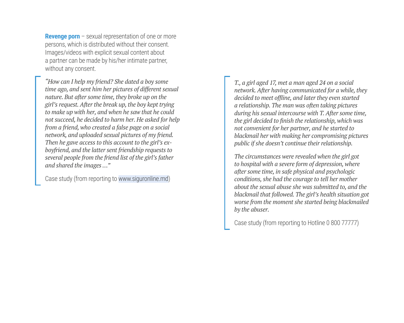**Revenge porn** – sexual representation of one or more persons, which is distributed without their consent. Images/videos with explicit sexual content about a partner can be made by his/her intimate partner without any consent.

*"How can I help my friend? She dated a boy some time ago, and sent him her pictures of different sexual nature. But after some time, they broke up on the girl's request. After the break up, the boy kept trying to make up with her, and when he saw that he could not succeed, he decided to harm her. He asked for help from a friend, who created a false page on a social network, and uploaded sexual pictures of my friend. Then he gave access to this account to the girl's exboyfriend, and the latter sent friendship requests to several people from the friend list of the girl's father and shared the images …"*

Case study (from reporting to www.siguronline.md)

*T., a girl aged 17, met a man aged 24 on a social network. After having communicated for a while, they decided to meet offline, and later they even started a relationship. The man was often taking pictures during his sexual intercourse with T. After some time, the girl decided to finish the relationship, which was not convenient for her partner, and he started to blackmail her with making her compromising pictures public if she doesn't continue their relationship.* 

*The circumstances were revealed when the girl got to hospital with a severe form of depression, where after some time, in safe physical and psychologic conditions, she had the courage to tell her mother about the sexual abuse she was submitted to, and the blackmail that followed. The girl's health situation got worse from the moment she started being blackmailed by the abuser.*

Case study (from reporting to Hotline 0 800 77777)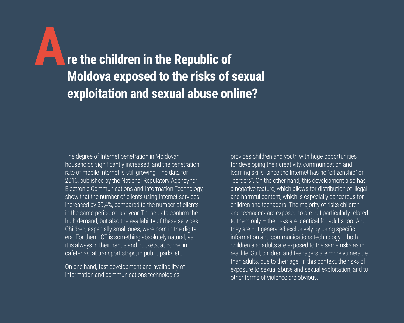**Are the children in the Republic of Moldova exposed to the risks of sexual exploitation and sexual abuse online?**

The degree of Internet penetration in Moldovan households significantly increased, and the penetration rate of mobile Internet is still growing. The data for 2016, published by the National Regulatory Agency for Electronic Communications and Information Technology, show that the number of clients using Internet services increased by 39,4%, compared to the number of clients in the same period of last year. These data confirm the high demand, but also the availability of these services. Children, especially small ones, were born in the digital era. For them ICT is something absolutely natural, as it is always in their hands and pockets, at home, in cafeterias, at transport stops, in public parks etc.

On one hand, fast development and availability of information and communications technologies

provides children and youth with huge opportunities for developing their creativity, communication and learning skills, since the Internet has no "citizenship" or "borders". On the other hand, this development also has a negative feature, which allows for distribution of illegal and harmful content, which is especially dangerous for children and teenagers. The majority of risks children and teenagers are exposed to are not particularly related to them only – the risks are identical for adults too. And they are not generated exclusively by using specific information and communications technology – both children and adults are exposed to the same risks as in real life. Still, children and teenagers are more vulnerable than adults, due to their age. In this context, the risks of exposure to sexual abuse and sexual exploitation, and to other forms of violence are obvious.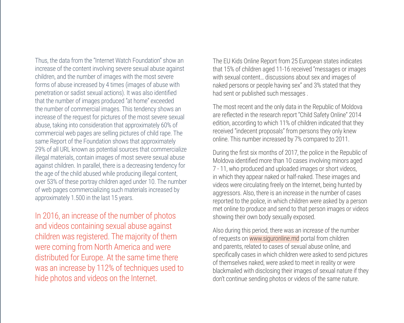Thus, the data from the "Internet Watch Foundation" show an increase of the content involving severe sexual abuse against children, and the number of images with the most severe forms of abuse increased by 4 times (images of abuse with penetration or sadist sexual actions). It was also identified that the number of images produced "at home" exceeded the number of commercial images. This tendency shows an increase of the request for pictures of the most severe sexual abuse, taking into consideration that approximately 60% of commercial web pages are selling pictures of child rape. The same Report of the Foundation shows that approximately 29% of all URL known as potential sources that commercialize illegal materials, contain images of most severe sexual abuse against children. In parallel, there is a decreasing tendency for the age of the child abused while producing illegal content, over 53% of these portray children aged under 10. The number of web pages commercializing such materials increased by approximately 1.500 in the last 15 years.

In 2016, an increase of the number of photos and videos containing sexual abuse against children was registered. The majority of them were coming from North America and were distributed for Europe. At the same time there was an increase by 112% of techniques used to hide photos and videos on the Internet.

The EU Kids Online Report from 25 European states indicates that 15% of children aged 11-16 received "messages or images with sexual content… discussions about sex and images of naked persons or people having sex" and 3% stated that they had sent or published such messages

The most recent and the only data in the Republic of Moldova are reflected in the research report "Child Safety Online" 2014 edition, according to which 11% of children indicated that they received "indecent proposals" from persons they only knew online. This number increased by 7% compared to 2011.

During the first six months of 2017, the police in the Republic of Moldova identified more than 10 cases involving minors aged 7 - 11, who produced and uploaded images or short videos, in which they appear naked or half-naked. These images and videos were circulating freely on the Internet, being hunted by aggressors. Also, there is an increase in the number of cases reported to the police, in which children were asked by a person met online to produce and send to that person images or videos showing their own body sexually exposed.

Also during this period, there was an increase of the number of requests on www.siguronline.md portal from children and parents, related to cases of sexual abuse online, and specifically cases in which children were asked to send pictures of themselves naked, were asked to meet in reality or were blackmailed with disclosing their images of sexual nature if they don't continue sending photos or videos of the same nature.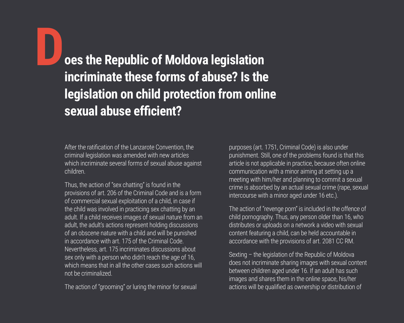**Does the Republic of Moldova legislation incriminate these forms of abuse? Is the legislation on child protection from online sexual abuse efficient?**

After the ratification of the Lanzarote Convention, the criminal legislation was amended with new articles which incriminate several forms of sexual abuse against children.

Thus, the action of "sex chatting" is found in the provisions of art. 206 of the Criminal Code and is a form of commercial sexual exploitation of a child, in case if the child was involved in practicing sex chatting by an adult. If a child receives images of sexual nature from an adult, the adult's actions represent holding discussions of an obscene nature with a child and will be punished in accordance with art. 175 of the Criminal Code. Nevertheless, art. 175 incriminates discussions about sex only with a person who didn't reach the age of 16, which means that in all the other cases such actions will not be criminalized.

The action of "grooming" or luring the minor for sexual

purposes (art. 1751, Criminal Code) is also under punishment. Still, one of the problems found is that this article is not applicable in practice, because often online communication with a minor aiming at setting up a meeting with him/her and planning to commit a sexual crime is absorbed by an actual sexual crime (rape, sexual intercourse with a minor aged under 16 etc.).

The action of "revenge porn" is included in the offence of child pornography. Thus, any person older than 16, who distributes or uploads on a network a video with sexual content featuring a child, can be held accountable in accordance with the provisions of art. 2081 CC RM.

Sexting – the legislation of the Republic of Moldova does not incriminate sharing images with sexual content between children aged under 16. If an adult has such images and shares them in the online space, his/her actions will be qualified as ownership or distribution of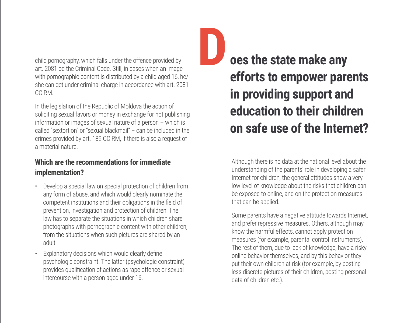child pornography, which falls under the offence provided by art. 2081 od the Criminal Code. Still, in cases when an image with pornographic content is distributed by a child aged 16, he/ she can get under criminal charge in accordance with art. 2081 CC RM.

In the legislation of the Republic of Moldova the action of soliciting sexual favors or money in exchange for not publishing information or images of sexual nature of a person – which is called "sextortion" or "sexual blackmail" – can be included in the crimes provided by art. 189 CC RM, if there is also a request of a material nature.

#### **Which are the recommendations for immediate implementation?**

- Develop a special law on special protection of children from any form of abuse, and which would clearly nominate the competent institutions and their obligations in the field of prevention, investigation and protection of children. The law has to separate the situations in which children share photographs with pornographic content with other children, from the situations when such pictures are shared by an adult.
- Explanatory decisions which would clearly define psychologic constraint. The latter (psychologic constraint) provides qualification of actions as rape offence or sexual intercourse with a person aged under 16.

**Does the state make any efforts to empower parents in providing support and education to their children on safe use of the Internet?** 

Although there is no data at the national level about the understanding of the parents' role in developing a safer Internet for children, the general attitudes show a very low level of knowledge about the risks that children can be exposed to online, and on the protection measures that can be applied.

Some parents have a negative attitude towards Internet, and prefer repressive measures. Others, although may know the harmful effects, cannot apply protection measures (for example, parental control instruments). The rest of them, due to lack of knowledge, have a risky online behavior themselves, and by this behavior they put their own children at risk (for example, by posting less discrete pictures of their children, posting personal data of children etc.).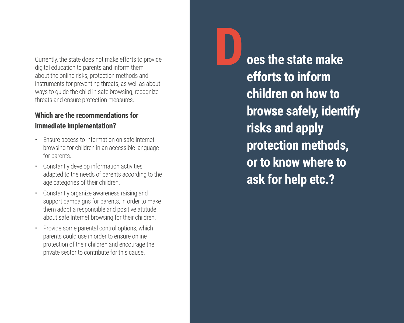Currently, the state does not make efforts to provide digital education to parents and inform them about the online risks, protection methods and instruments for preventing threats, as well as about ways to guide the child in safe browsing, recognize threats and ensure protection measures.

### **Which are the recommendations for immediate implementation?**

- Ensure access to information on safe Internet browsing for children in an accessible language for parents.
- Constantly develop information activities adapted to the needs of parents according to the age categories of their children.
- Constantly organize awareness raising and support campaigns for parents, in order to make them adopt a responsible and positive attitude about safe Internet browsing for their children.
- Provide some parental control options, which parents could use in order to ensure online protection of their children and encourage the private sector to contribute for this cause.

**Does the state make efforts to inform children on how to browse safely, identify risks and apply protection methods, or to know where to ask for help etc.?**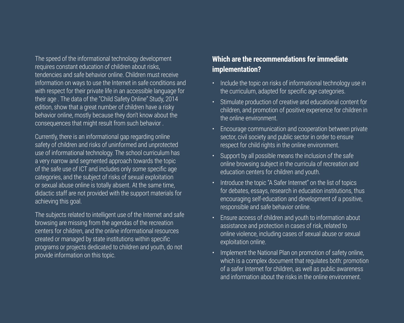The speed of the informational technology development requires constant education of children about risks, tendencies and safe behavior online. Children must receive information on ways to use the Internet in safe conditions and with respect for their private life in an accessible language for their age . The data of the "Child Safety Online" Study, 2014 edition, show that a great number of children have a risky behavior online, mostly because they don't know about the consequences that might result from such behavior .

Currently, there is an informational gap regarding online safety of children and risks of uninformed and unprotected use of informational technology. The school curriculum has a very narrow and segmented approach towards the topic of the safe use of ICT and includes only some specific age categories, and the subject of risks of sexual exploitation or sexual abuse online is totally absent. At the same time, didactic staff are not provided with the support materials for achieving this goal.

The subjects related to intelligent use of the Internet and safe browsing are missing from the agendas of the recreation centers for children, and the online informational resources created or managed by state institutions within specific programs or projects dedicated to children and youth, do not provide information on this topic.

#### **Which are the recommendations for immediate implementation?**

- Include the topic on risks of informational technology use in the curriculum, adapted for specific age categories.
- Stimulate production of creative and educational content for children, and promotion of positive experience for children in the online environment.
- Encourage communication and cooperation between private sector, civil society and public sector in order to ensure respect for child rights in the online environment.
- Support by all possible means the inclusion of the safe online browsing subject in the curricula of recreation and education centers for children and youth.
- Introduce the topic "A Safer Internet" on the list of topics for debates, essays, research in education institutions, thus encouraging self-education and development of a positive, responsible and safe behavior online.
- Ensure access of children and youth to information about assistance and protection in cases of risk, related to online violence, including cases of sexual abuse or sexual exploitation online.
- Implement the National Plan on promotion of safety online, which is a complex document that regulates both: promotion of a safer Internet for children, as well as public awareness and information about the risks in the online environment.